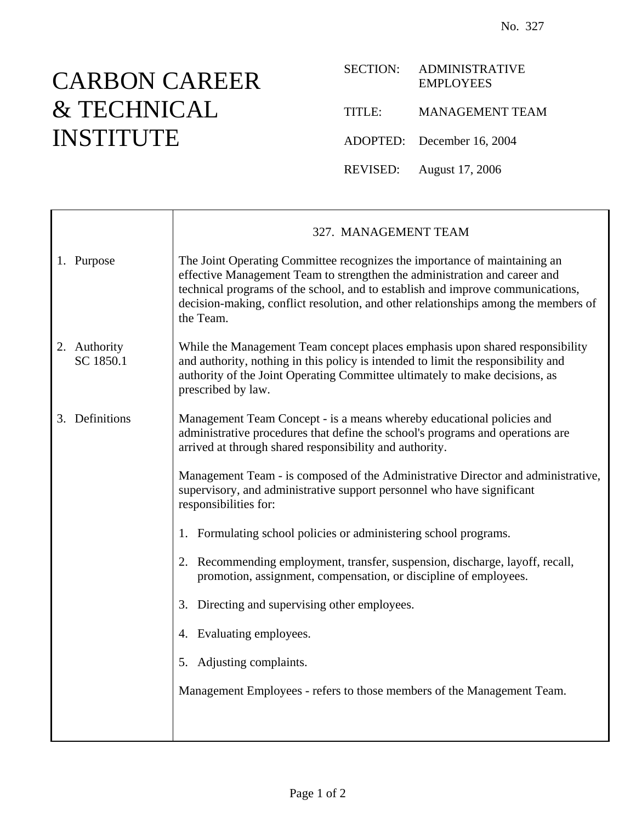## CARBON CAREER & TECHNICAL INSTITUTE

| SECTION:      | <b>ADMINISTRATIVE</b><br><b>EMPLOYEES</b> |
|---------------|-------------------------------------------|
| <b>TITLE:</b> | <b>MANAGEMENT TEAM</b>                    |
|               | ADOPTED: December 16, 2004                |
|               | REVISED: August 17, 2006                  |

|                           | 327. MANAGEMENT TEAM                                                                                                                                                                                                                                                                                                                        |
|---------------------------|---------------------------------------------------------------------------------------------------------------------------------------------------------------------------------------------------------------------------------------------------------------------------------------------------------------------------------------------|
| 1. Purpose                | The Joint Operating Committee recognizes the importance of maintaining an<br>effective Management Team to strengthen the administration and career and<br>technical programs of the school, and to establish and improve communications,<br>decision-making, conflict resolution, and other relationships among the members of<br>the Team. |
| 2. Authority<br>SC 1850.1 | While the Management Team concept places emphasis upon shared responsibility<br>and authority, nothing in this policy is intended to limit the responsibility and<br>authority of the Joint Operating Committee ultimately to make decisions, as<br>prescribed by law.                                                                      |
| 3. Definitions            | Management Team Concept - is a means whereby educational policies and<br>administrative procedures that define the school's programs and operations are<br>arrived at through shared responsibility and authority.                                                                                                                          |
|                           | Management Team - is composed of the Administrative Director and administrative,<br>supervisory, and administrative support personnel who have significant<br>responsibilities for:                                                                                                                                                         |
|                           | 1. Formulating school policies or administering school programs.                                                                                                                                                                                                                                                                            |
|                           | 2. Recommending employment, transfer, suspension, discharge, layoff, recall,<br>promotion, assignment, compensation, or discipline of employees.                                                                                                                                                                                            |
|                           | 3. Directing and supervising other employees.                                                                                                                                                                                                                                                                                               |
|                           | 4. Evaluating employees.                                                                                                                                                                                                                                                                                                                    |
|                           | 5. Adjusting complaints.                                                                                                                                                                                                                                                                                                                    |
|                           | Management Employees - refers to those members of the Management Team.                                                                                                                                                                                                                                                                      |
|                           |                                                                                                                                                                                                                                                                                                                                             |